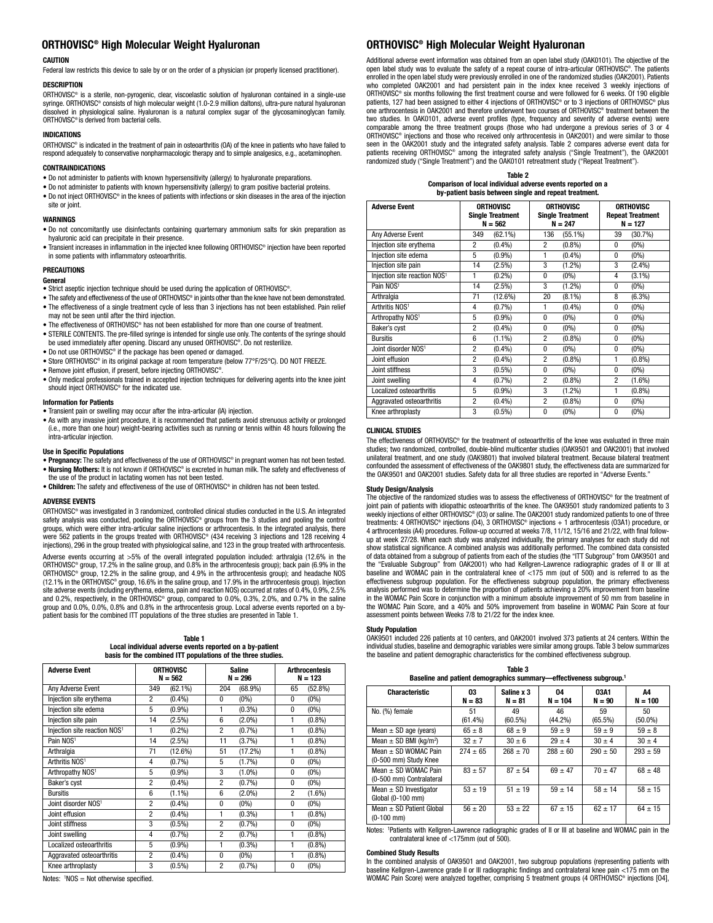# **ORTHOVISC® High Molecular Weight Hyaluronan ORTHOVISC® High Molecular Weight Hyaluronan**

# **CAUTION**

Federal law restricts this device to sale by or on the order of a physician (or properly licensed practitioner).

# **DESCRIPTION**

ORTHOVISC® is a sterile, non-pyrogenic, clear, viscoelastic solution of hyaluronan contained in a single-use syringe. ORTHOVISC® consists of high molecular weight (1.0-2.9 million daltons), ultra-pure natural hyaluronan dissolved in physiological saline. Hyaluronan is a natural complex sugar of the glycosaminoglycan family. ORTHOVISC® is derived from bacterial cells.

## **INDICATIONS**

ORTHOVISC® is indicated in the treatment of pain in osteoarthritis (OA) of the knee in patients who have failed to respond adequately to conservative nonpharmacologic therapy and to simple analgesics, e.g., acetaminophen.

## **CONTRAINDICATIONS**

- Do not administer to patients with known hypersensitivity (allergy) to hyaluronate preparations.
- Do not administer to patients with known hypersensitivity (allergy) to gram positive bacterial proteins. • Do not inject ORTHOVISC® in the knees of patients with infections or skin diseases in the area of the injection
- site or joint.

# **WARNINGS**

- Do not concomitantly use disinfectants containing quarternary ammonium salts for skin preparation as hyaluronic acid can precipitate in their presence.
- Transient increases in inflammation in the injected knee following ORTHOVISC® injection have been reported in some patients with inflammatory osteoarthritis.

# **PRECAUTIONS**

# **General**

- Strict aseptic injection technique should be used during the application of ORTHOVISC®.
- The safety and effectiveness of the use of ORTHOVISC® in joints other than the knee have not been demonstrated. • The effectiveness of a single treatment cycle of less than 3 injections has not been established. Pain relief may not be seen until after the third injection.
- The effectiveness of ORTHOVISC® has not been established for more than one course of treatment.
- STERILE CONTENTS. The pre-filled syringe is intended for single use only. The contents of the syringe should be used immediately after opening. Discard any unused ORTHOVISC®. Do not resterilize. • Do not use ORTHOVISC® if the package has been opened or damaged.
- Store ORTHOVISC® in its original package at room temperature (below 77°F/25°C). DO NOT FREEZE.
- Remove joint effusion, if present, before injecting ORTHOVISC®.
- Only medical professionals trained in accepted injection techniques for delivering agents into the knee joint should inject ORTHOVISC® for the indicated use.

## **Information for Patients**

- Transient pain or swelling may occur after the intra-articular (IA) injection.
- As with any invasive joint procedure, it is recommended that patients avoid strenuous activity or prolonged (i.e., more than one hour) weight-bearing activities such as running or tennis within 48 hours following the intra-articular injection.

## **Use in Specific Populations**

- **• Pregnancy:** The safety and effectiveness of the use of ORTHOVISC® in pregnant women has not been tested. **• Nursing Mothers:** It is not known if ORTHOVISC® is excreted in human milk. The safety and effectiveness of the use of the product in lactating women has not been tested.
- **• Children:** The safety and effectiveness of the use of ORTHOVISC® in children has not been tested.

## **ADVERSE EVENTS**

ORTHOVISC® was investigated in 3 randomized, controlled clinical studies conducted in the U.S. An integrated safety analysis was conducted, pooling the ORTHOVISC® groups from the 3 studies and pooling the control groups, which were either intra-articular saline injections or arthrocentesis. In the integrated analysis, there were 562 patients in the groups treated with ORTHOVISC® (434 receiving 3 injections and 128 receiving 4 injections), 296 in the group treated with physiological saline, and 123 in the group treated with arthrocentesis.

Adverse events occurring at >5% of the overall integrated population included: arthralgia (12.6% in the ORTHOVISC® group, 17.2% in the saline group, and 0.8% in the arthrocentesis group); back pain (6.9% in the ORTHOVISC® group, 12.2% in the saline group, and 4.9% in the arthrocentesis group); and headache NOS (12.1% in the ORTHOVISC® group, 16.6% in the saline group, and 17.9% in the arthrocentesis group). Injection site adverse events (including erythema, edema, pain and reaction NOS) occurred at rates of 0.4%, 0.9%, 2.5% and 0.2%, respectively, in the ORTHOVISC® group, compared to 0.0%, 0.3%, 2.0%, and 0.7% in the saline group and 0.0%, 0.0%, 0.8% and 0.8% in the arthrocentesis group. Local adverse events reported on a by-<br>patient basis for the combined ITT populations of the three studies are presented in Table 1.

### **Table 1 Local individual adverse events reported on a by-patient basis for the combined ITT populations of the three studies.**

| <b>Adverse Event</b>                     | <b>ORTHOVISC</b><br>$N = 562$ |            | <b>Saline</b><br>$N = 296$ |           | <b>Arthrocentesis</b><br>$N = 123$ |           |
|------------------------------------------|-------------------------------|------------|----------------------------|-----------|------------------------------------|-----------|
| Any Adverse Event                        | 349                           | $(62.1\%)$ | 204                        | (68.9%)   | 65                                 | (52.8%)   |
| Injection site erythema                  | $\overline{2}$                | $(0.4\%)$  | 0                          | $(0\%)$   | 0                                  | $(0\%)$   |
| Injection site edema                     | 5                             | $(0.9\%)$  | 1                          | $(0.3\%)$ | 0                                  | $(0\%)$   |
| Injection site pain                      | 14                            | $(2.5\%)$  | 6                          | $(2.0\%)$ | 1                                  | $(0.8\%)$ |
| Injection site reaction NOS <sup>1</sup> |                               | $(0.2\%)$  | 2                          | (0.7%)    |                                    | $(0.8\%)$ |
| Pain NOS <sup>1</sup>                    | 14                            | $(2.5\%)$  | 11                         | (3.7%)    | 1                                  | $(0.8\%)$ |
| Arthralgia                               | 71                            | (12.6%)    | 51                         | (17.2%)   | 1                                  | $(0.8\%)$ |
| Arthritis NOS <sup>1</sup>               | 4                             | (0.7%)     | 5                          | $(1.7\%)$ | 0                                  | $(0\%)$   |
| Arthropathy NOS <sup>1</sup>             | 5                             | $(0.9\%)$  | 3                          | $(1.0\%)$ | 0                                  | $(0\%)$   |
| Baker's cyst                             | $\overline{2}$                | $(0.4\%)$  | $\overline{2}$             | (0.7%)    | 0                                  | $(0\%)$   |
| <b>Bursitis</b>                          | 6                             | $(1.1\%)$  | 6                          | $(2.0\%)$ | $\overline{2}$                     | $(1.6\%)$ |
| Joint disorder NOS <sup>1</sup>          | $\overline{2}$                | $(0.4\%)$  | 0                          | $(0\%)$   | 0                                  | $(0\%)$   |
| Joint effusion                           | $\overline{2}$                | $(0.4\%)$  | 1                          | $(0.3\%)$ | 1                                  | $(0.8\%)$ |
| Joint stiffness                          | 3                             | $(0.5\%)$  | $\overline{2}$             | (0.7%)    | 0                                  | $(0\%)$   |
| Joint swelling                           | 4                             | (0.7%)     | $\overline{2}$             | (0.7%     | 1                                  | $(0.8\%)$ |
| Localized osteoarthritis                 | 5                             | $(0.9\%)$  | 1                          | $(0.3\%)$ | 1                                  | $(0.8\%)$ |
| Aggravated osteoarthritis                | $\overline{2}$                | $(0.4\%)$  | 0                          | $(0\%)$   |                                    | $(0.8\%)$ |
| Knee arthroplasty                        | 3                             | $(0.5\%)$  | $\overline{2}$             | (0.7%)    | 0                                  | $(0\%)$   |

Notes: <sup>1</sup>NOS = Not otherwise specified.

Additional adverse event information was obtained from an open label study (OAK0101). The objective of the open label study was to evaluate the safety of a repeat course of intra-articular ORTHOVISC®. The patients enrolled in the open label study were previously enrolled in one of the randomized studies (OAK2001). Patients who completed OAK2001 and had persistent pain in the index knee received 3 weekly injections of ORTHOVISC® six months following the first treatment course and were followed for 6 weeks. Of 190 eligible patients, 127 had been assigned to either 4 injections of ORTHOVISC® or to 3 injections of ORTHOVISC® plus one arthrocentesis in OAK2001 and therefore underwent two courses of ORTHOVISC® treatment between the two studies. In OAK0101, adverse event profiles (type, frequency and severity of adverse events) were comparable among the three treatment groups (those who had undergone a previous series of 3 or 4 ORTHOVISC® injections and those who received only arthrocentesis in OAK2001) and were similar to those seen in the OAK2001 study and the integrated safety analysis. Table 2 compares adverse event data for patients receiving ORTHOVISC® among the integrated safety analysis ("Single Treatment"), the OAK2001<br>randomized study ("Single Treatment") and the OAK0101 retreatment study ("Repeat Treatment").

**Table 2 Comparison of local individual adverse events reported on a by-patient basis between single and repeat treatment.**

| <b>Adverse Event</b>                     | <b>ORTHOVISC</b><br><b>Single Treatment</b><br>$N = 562$ |            | <b>ORTHOVISC</b><br><b>Single Treatment</b><br>$N = 247$ |            | <b>ORTHOVISC</b><br><b>Repeat Treatment</b><br>$N = 127$ |           |
|------------------------------------------|----------------------------------------------------------|------------|----------------------------------------------------------|------------|----------------------------------------------------------|-----------|
| Any Adverse Event                        | 349                                                      | $(62.1\%)$ | 136                                                      | $(55.1\%)$ | 39                                                       | (30.7%)   |
| Injection site erythema                  | $\overline{2}$                                           | $(0.4\%)$  | 2                                                        | (0.8%)     | 0                                                        | $(0\%)$   |
| Injection site edema                     | 5                                                        | $(0.9\%)$  | 1                                                        | $(0.4\%)$  | 0                                                        | $(0\%)$   |
| Injection site pain                      | 14                                                       | $(2.5\%)$  | 3                                                        | $(1.2\%)$  | 3                                                        | $(2.4\%)$ |
| Injection site reaction NOS <sup>1</sup> | 1                                                        | $(0.2\%)$  | $\Omega$                                                 | $(0\%)$    | 4                                                        | $(3.1\%)$ |
| Pain NOS <sup>1</sup>                    | 14                                                       | $(2.5\%)$  | 3                                                        | $(1.2\%)$  | $\mathbf{0}$                                             | $(0\%)$   |
| Arthralgia                               | 71                                                       | (12.6%)    | 20                                                       | $(8.1\%)$  | 8                                                        | $(6.3\%)$ |
| Arthritis NOS <sup>1</sup>               | 4                                                        | $(0.7\%)$  | 1                                                        | $(0.4\%)$  | 0                                                        | $(0\%)$   |
| Arthropathy NOS <sup>1</sup>             | 5                                                        | $(0.9\%)$  | $\theta$                                                 | $(0\%)$    | $\mathbf{0}$                                             | $(0\%)$   |
| Baker's cyst                             | $\overline{2}$                                           | $(0.4\%)$  | $\Omega$                                                 | $(0\%)$    | $\mathbf{0}$                                             | $(0\%)$   |
| <b>Bursitis</b>                          | 6                                                        | $(1.1\%)$  | $\overline{2}$                                           | (0.8%)     | $\mathbf{0}$                                             | $(0\%)$   |
| Joint disorder NOS <sup>1</sup>          | 2                                                        | (0.4% )    | 0                                                        | $(0\%)$    | 0                                                        | $(0\%)$   |
| Joint effusion                           | $\overline{2}$                                           | $(0.4\%)$  | 2                                                        | $(0.8\%)$  | 1                                                        | $(0.8\%)$ |
| Joint stiffness                          | 3                                                        | $(0.5\%)$  | $\theta$                                                 | $(0\%)$    | $\mathbf{0}$                                             | $(0\%)$   |
| Joint swelling                           | 4                                                        | (0.7%      | $\overline{2}$                                           | $(0.8\%)$  | $\overline{2}$                                           | $(1.6\%)$ |
| Localized osteoarthritis                 | 5                                                        | $(0.9\%)$  | 3                                                        | $(1.2\%)$  | 1                                                        | $(0.8\%)$ |
| Aggravated osteoarthritis                | $\overline{2}$                                           | $(0.4\%)$  | $\overline{2}$                                           | (0.8%)     | $\mathbf{0}$                                             | $(0\%)$   |
| Knee arthroplasty                        | 3                                                        | $(0.5\%)$  | 0                                                        | $(0\%)$    | 0                                                        | $(0\%)$   |

# **CLINICAL STUDIES**

The effectiveness of ORTHOVISC® for the treatment of osteoarthritis of the knee was evaluated in three main studies; two randomized, controlled, double-blind multicenter studies (OAK9501 and OAK2001) that involved unilateral treatment, and one study (OAK9801) that involved bilateral treatment. Because bilateral treatment confounded the assessment of effectiveness of the OAK9801 study, the effectiveness data are summarized for the OAK9501 and OAK2001 studies. Safety data for all three studies are reported in "Adverse Events."

## **Study Design/Analysis**

The objective of the randomized studies was to assess the effectiveness of ORTHOVISC® for the treatment of joint pain of patients with idiopathic osteoarthritis of the knee. The OAK9501 study randomized patients to 3 weekly injections of either ORTHOVISC® (O3) or saline. The OAK2001 study randomized patients to one of three treatments: 4 ORTHOVISC® injections (O4), 3 ORTHOVISC® injections + 1 arthrocentesis (O3A1) procedure, or 4 arthrocentesis (A4) procedures. Follow-up occurred at weeks 7/8, 11/12, 15/16 and 21/22, with final follow-up at week 27/28. When each study was analyzed individually, the primary analyses for each study did not show statistical significance. A combined analysis was additionally performed. The combined data consisted of data obtained from a subgroup of patients from each of the studies (the "ITT Subgroup" from OAK9501 and the "Evaluable Subgroup" from OAK2001) who had Kellgren-Lawrence radiographic grades of II or III at baseline and WOMAC pain in the contralateral knee of <175 mm (out of 500) and is referred to as the effectiveness subgroup population. For the effectiveness subgroup population, the primary effectiveness analysis performed was to determine the proportion of patients achieving a 20% improvement from baseline in the WOMAC Pain Score in conjunction with a minimum absolute improvement of 50 mm from baseline in the WOMAC Pain Score, and a 40% and 50% improvement from baseline in WOMAC Pain Score at four assessment points between Weeks 7/8 to 21/22 for the index knee.

## **Study Population**

OAK9501 included 226 patients at 10 centers, and OAK2001 involved 373 patients at 24 centers. Within the individual studies, baseline and demographic variables were similar among groups. Table 3 below summarizes the baseline and patient demographic characteristics for the combined effectiveness subgroup.

| Table 3                                                                        |
|--------------------------------------------------------------------------------|
| Baseline and patient demographics summary—effectiveness subgroup. <sup>1</sup> |

| <b>Characteristic</b>                              | 03<br>$N = 83$   | Saline x 3<br>$N = 81$ | 04<br>$N = 104$  | 03A1<br>$N = 90$ | А4<br>$N = 100$  |
|----------------------------------------------------|------------------|------------------------|------------------|------------------|------------------|
| No. (%) female                                     | 51<br>$(61.4\%)$ | 49<br>$(60.5\%)$       | 46<br>$(44.2\%)$ | 59<br>(65.5%)    | 50<br>$(50.0\%)$ |
| Mean $\pm$ SD age (years)                          | $65 + 8$         | $68 + 9$               | $59 + 9$         | $59 + 9$         | $59 + 8$         |
| Mean $\pm$ SD BMI (kg/m <sup>2</sup> )             | $32 \pm 7$       | $30 + 6$               | $29 + 4$         | $30 + 4$         | $30 \pm 4$       |
| Mean $+$ SD WOMAC Pain<br>(0-500 mm) Study Knee    | $274 + 65$       | $268 + 70$             | $288 + 60$       | $290 + 50$       | $293 \pm 59$     |
| Mean $+$ SD WOMAC Pain<br>(0-500 mm) Contralateral | $83 \pm 57$      | $87 + 54$              | $69 + 47$        | $70 + 47$        | $68 \pm 48$      |
| Mean $\pm$ SD Investigator<br>Global (0-100 mm)    | $53 + 19$        | $51 + 19$              | $59 + 14$        | $58 + 14$        | $58 \pm 15$      |
| Mean $\pm$ SD Patient Global<br>$(0-100$ mm)       | $56 \pm 20$      | $53 + 22$              | $67 \pm 15$      | $62 \pm 17$      | $64 + 15$        |

Notes: <sup>1</sup> Patients with Kellgren-Lawrence radiographic grades of II or III at baseline and WOMAC pain in the contralateral knee of <175mm (out of 500).

### **Combined Study Results**

In the combined analysis of OAK9501 and OAK2001, two subgroup populations (representing patients with baseline Kellgren-Lawrence grade II or III radiographic findings and contralateral knee pain <175 mm on the WOMAC Pain Score) were analyzed together, comprising 5 treatment groups (4 ORTHOVISC® injections [O4],